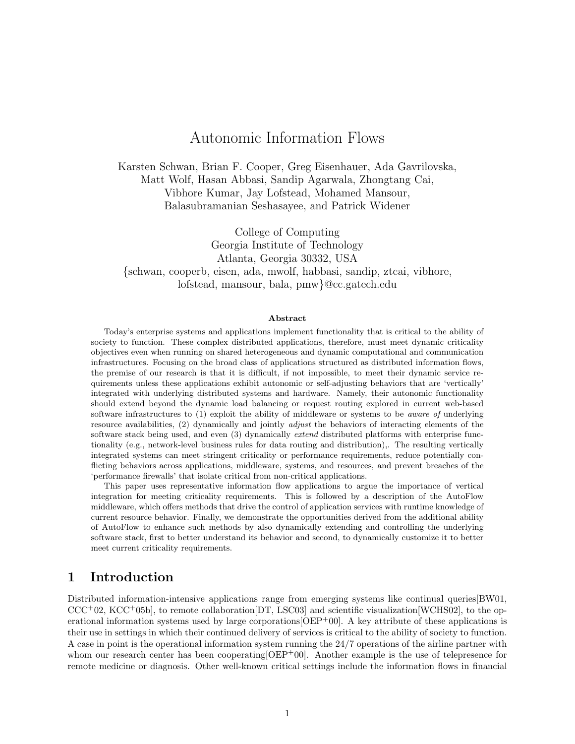# Autonomic Information Flows

Karsten Schwan, Brian F. Cooper, Greg Eisenhauer, Ada Gavrilovska, Matt Wolf, Hasan Abbasi, Sandip Agarwala, Zhongtang Cai, Vibhore Kumar, Jay Lofstead, Mohamed Mansour, Balasubramanian Seshasayee, and Patrick Widener

College of Computing Georgia Institute of Technology Atlanta, Georgia 30332, USA {schwan, cooperb, eisen, ada, mwolf, habbasi, sandip, ztcai, vibhore, lofstead, mansour, bala, pmw}@cc.gatech.edu

#### Abstract

Today's enterprise systems and applications implement functionality that is critical to the ability of society to function. These complex distributed applications, therefore, must meet dynamic criticality objectives even when running on shared heterogeneous and dynamic computational and communication infrastructures. Focusing on the broad class of applications structured as distributed information flows, the premise of our research is that it is difficult, if not impossible, to meet their dynamic service requirements unless these applications exhibit autonomic or self-adjusting behaviors that are 'vertically' integrated with underlying distributed systems and hardware. Namely, their autonomic functionality should extend beyond the dynamic load balancing or request routing explored in current web-based software infrastructures to (1) exploit the ability of middleware or systems to be aware of underlying resource availabilities, (2) dynamically and jointly adjust the behaviors of interacting elements of the software stack being used, and even (3) dynamically extend distributed platforms with enterprise functionality (e.g., network-level business rules for data routing and distribution),. The resulting vertically integrated systems can meet stringent criticality or performance requirements, reduce potentially conflicting behaviors across applications, middleware, systems, and resources, and prevent breaches of the 'performance firewalls' that isolate critical from non-critical applications.

This paper uses representative information flow applications to argue the importance of vertical integration for meeting criticality requirements. This is followed by a description of the AutoFlow middleware, which offers methods that drive the control of application services with runtime knowledge of current resource behavior. Finally, we demonstrate the opportunities derived from the additional ability of AutoFlow to enhance such methods by also dynamically extending and controlling the underlying software stack, first to better understand its behavior and second, to dynamically customize it to better meet current criticality requirements.

## 1 Introduction

Distributed information-intensive applications range from emerging systems like continual queries[BW01,  $CCC<sup>+</sup>02$ ,  $KCC<sup>+</sup>05b$ , to remote collaboration  $DT$ , LSC03 and scientific visualization [WCHS02], to the operational information systems used by large corporations  $[OEP<sup>+</sup>00]$ . A key attribute of these applications is their use in settings in which their continued delivery of services is critical to the ability of society to function. A case in point is the operational information system running the 24/7 operations of the airline partner with whom our research center has been cooperating  $[OEP^+00]$ . Another example is the use of telepresence for remote medicine or diagnosis. Other well-known critical settings include the information flows in financial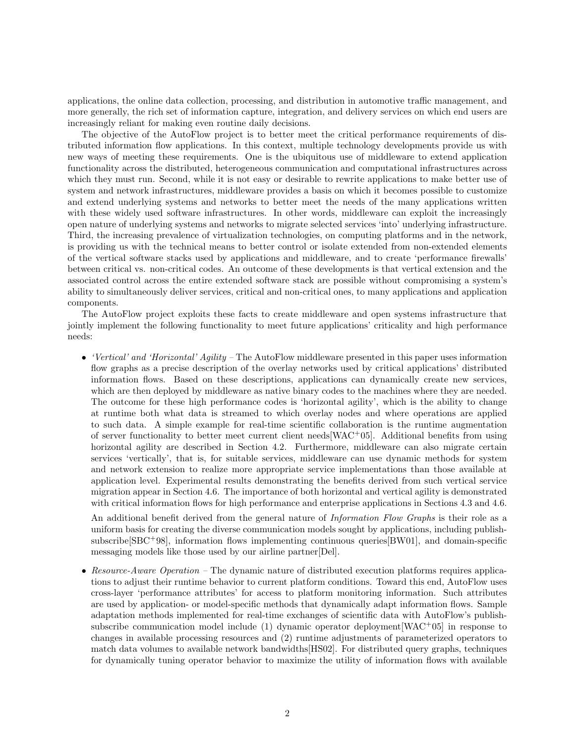applications, the online data collection, processing, and distribution in automotive traffic management, and more generally, the rich set of information capture, integration, and delivery services on which end users are increasingly reliant for making even routine daily decisions.

The objective of the AutoFlow project is to better meet the critical performance requirements of distributed information flow applications. In this context, multiple technology developments provide us with new ways of meeting these requirements. One is the ubiquitous use of middleware to extend application functionality across the distributed, heterogeneous communication and computational infrastructures across which they must run. Second, while it is not easy or desirable to rewrite applications to make better use of system and network infrastructures, middleware provides a basis on which it becomes possible to customize and extend underlying systems and networks to better meet the needs of the many applications written with these widely used software infrastructures. In other words, middleware can exploit the increasingly open nature of underlying systems and networks to migrate selected services 'into' underlying infrastructure. Third, the increasing prevalence of virtualization technologies, on computing platforms and in the network, is providing us with the technical means to better control or isolate extended from non-extended elements of the vertical software stacks used by applications and middleware, and to create 'performance firewalls' between critical vs. non-critical codes. An outcome of these developments is that vertical extension and the associated control across the entire extended software stack are possible without compromising a system's ability to simultaneously deliver services, critical and non-critical ones, to many applications and application components.

The AutoFlow project exploits these facts to create middleware and open systems infrastructure that jointly implement the following functionality to meet future applications' criticality and high performance needs:

• 'Vertical' and 'Horizontal' Agility – The AutoFlow middleware presented in this paper uses information flow graphs as a precise description of the overlay networks used by critical applications' distributed information flows. Based on these descriptions, applications can dynamically create new services, which are then deployed by middleware as native binary codes to the machines where they are needed. The outcome for these high performance codes is 'horizontal agility', which is the ability to change at runtime both what data is streamed to which overlay nodes and where operations are applied to such data. A simple example for real-time scientific collaboration is the runtime augmentation of server functionality to better meet current client needs[WAC<sup>+</sup>05]. Additional benefits from using horizontal agility are described in Section 4.2. Furthermore, middleware can also migrate certain services 'vertically', that is, for suitable services, middleware can use dynamic methods for system and network extension to realize more appropriate service implementations than those available at application level. Experimental results demonstrating the benefits derived from such vertical service migration appear in Section 4.6. The importance of both horizontal and vertical agility is demonstrated with critical information flows for high performance and enterprise applications in Sections 4.3 and 4.6.

An additional benefit derived from the general nature of *Information Flow Graphs* is their role as a uniform basis for creating the diverse communication models sought by applications, including publishsubscribe[SBC<sup>+</sup>98], information flows implementing continuous queries[BW01], and domain-specific messaging models like those used by our airline partner[Del].

• Resource-Aware Operation – The dynamic nature of distributed execution platforms requires applications to adjust their runtime behavior to current platform conditions. Toward this end, AutoFlow uses cross-layer 'performance attributes' for access to platform monitoring information. Such attributes are used by application- or model-specific methods that dynamically adapt information flows. Sample adaptation methods implemented for real-time exchanges of scientific data with AutoFlow's publishsubscribe communication model include (1) dynamic operator deployment  $[WAC^+05]$  in response to changes in available processing resources and (2) runtime adjustments of parameterized operators to match data volumes to available network bandwidths[HS02]. For distributed query graphs, techniques for dynamically tuning operator behavior to maximize the utility of information flows with available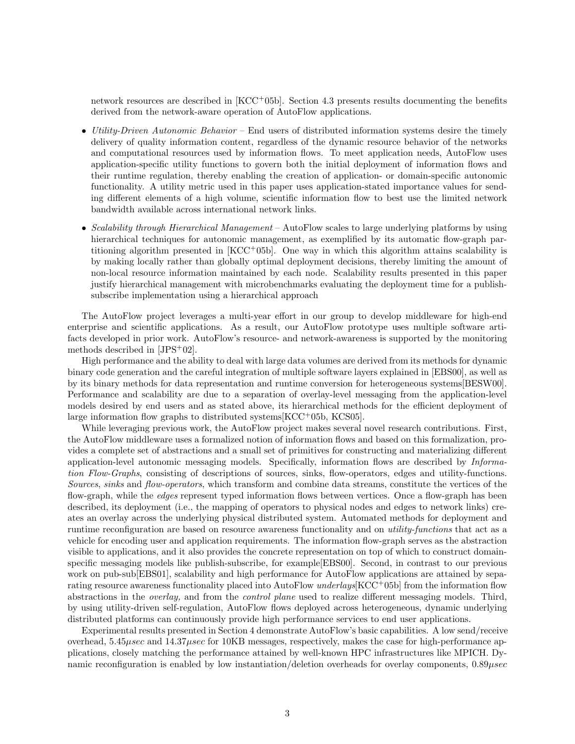network resources are described in [KCC<sup>+</sup>05b]. Section 4.3 presents results documenting the benefits derived from the network-aware operation of AutoFlow applications.

- Utility-Driven Autonomic Behavior End users of distributed information systems desire the timely delivery of quality information content, regardless of the dynamic resource behavior of the networks and computational resources used by information flows. To meet application needs, AutoFlow uses application-specific utility functions to govern both the initial deployment of information flows and their runtime regulation, thereby enabling the creation of application- or domain-specific autonomic functionality. A utility metric used in this paper uses application-stated importance values for sending different elements of a high volume, scientific information flow to best use the limited network bandwidth available across international network links.
- Scalability through Hierarchical Management AutoFlow scales to large underlying platforms by using hierarchical techniques for autonomic management, as exemplified by its automatic flow-graph partitioning algorithm presented in  $[KCC<sup>+</sup>05b]$ . One way in which this algorithm attains scalability is by making locally rather than globally optimal deployment decisions, thereby limiting the amount of non-local resource information maintained by each node. Scalability results presented in this paper justify hierarchical management with microbenchmarks evaluating the deployment time for a publishsubscribe implementation using a hierarchical approach

The AutoFlow project leverages a multi-year effort in our group to develop middleware for high-end enterprise and scientific applications. As a result, our AutoFlow prototype uses multiple software artifacts developed in prior work. AutoFlow's resource- and network-awareness is supported by the monitoring methods described in [JPS<sup>+</sup>02].

High performance and the ability to deal with large data volumes are derived from its methods for dynamic binary code generation and the careful integration of multiple software layers explained in [EBS00], as well as by its binary methods for data representation and runtime conversion for heterogeneous systems[BESW00]. Performance and scalability are due to a separation of overlay-level messaging from the application-level models desired by end users and as stated above, its hierarchical methods for the efficient deployment of large information flow graphs to distributed systems  $KCC<sup>+</sup>05b$ , KCS05.

While leveraging previous work, the AutoFlow project makes several novel research contributions. First, the AutoFlow middleware uses a formalized notion of information flows and based on this formalization, provides a complete set of abstractions and a small set of primitives for constructing and materializing different application-level autonomic messaging models. Specifically, information flows are described by Information Flow-Graphs, consisting of descriptions of sources, sinks, flow-operators, edges and utility-functions. Sources, sinks and flow-operators, which transform and combine data streams, constitute the vertices of the flow-graph, while the *edges* represent typed information flows between vertices. Once a flow-graph has been described, its deployment (i.e., the mapping of operators to physical nodes and edges to network links) creates an overlay across the underlying physical distributed system. Automated methods for deployment and runtime reconfiguration are based on resource awareness functionality and on utility-functions that act as a vehicle for encoding user and application requirements. The information flow-graph serves as the abstraction visible to applications, and it also provides the concrete representation on top of which to construct domainspecific messaging models like publish-subscribe, for example[EBS00]. Second, in contrast to our previous work on pub-sub[EBS01], scalability and high performance for AutoFlow applications are attained by separating resource awareness functionality placed into AutoFlow underlays KCC+05b] from the information flow abstractions in the overlay, and from the control plane used to realize different messaging models. Third, by using utility-driven self-regulation, AutoFlow flows deployed across heterogeneous, dynamic underlying distributed platforms can continuously provide high performance services to end user applications.

Experimental results presented in Section 4 demonstrate AutoFlow's basic capabilities. A low send/receive overhead,  $5.45\mu$ sec and  $14.37\mu$ sec for 10KB messages, respectively, makes the case for high-performance applications, closely matching the performance attained by well-known HPC infrastructures like MPICH. Dynamic reconfiguration is enabled by low instantiation/deletion overheads for overlay components,  $0.89\mu sec$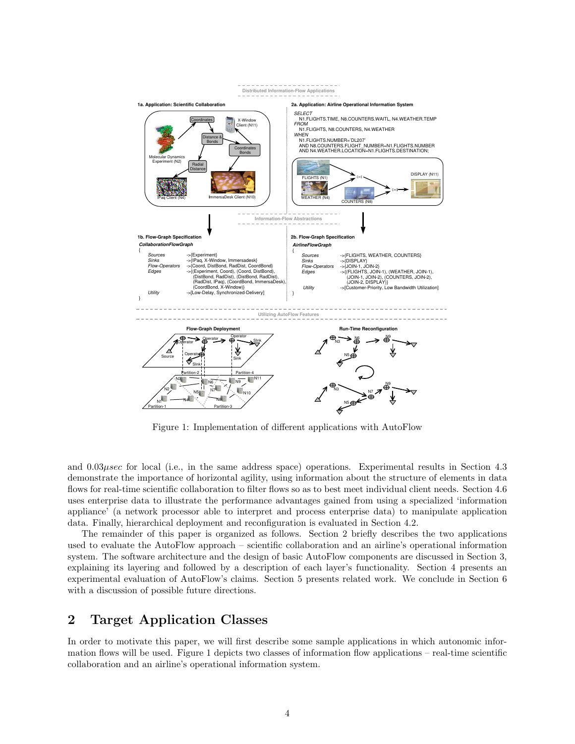

Figure 1: Implementation of different applications with AutoFlow

and  $0.03\mu sec$  for local (i.e., in the same address space) operations. Experimental results in Section 4.3 demonstrate the importance of horizontal agility, using information about the structure of elements in data flows for real-time scientific collaboration to filter flows so as to best meet individual client needs. Section 4.6 uses enterprise data to illustrate the performance advantages gained from using a specialized 'information appliance' (a network processor able to interpret and process enterprise data) to manipulate application data. Finally, hierarchical deployment and reconfiguration is evaluated in Section 4.2.

The remainder of this paper is organized as follows. Section 2 briefly describes the two applications used to evaluate the AutoFlow approach – scientific collaboration and an airline's operational information system. The software architecture and the design of basic AutoFlow components are discussed in Section 3, explaining its layering and followed by a description of each layer's functionality. Section 4 presents an experimental evaluation of AutoFlow's claims. Section 5 presents related work. We conclude in Section 6 with a discussion of possible future directions.

# 2 Target Application Classes

In order to motivate this paper, we will first describe some sample applications in which autonomic information flows will be used. Figure 1 depicts two classes of information flow applications – real-time scientific collaboration and an airline's operational information system.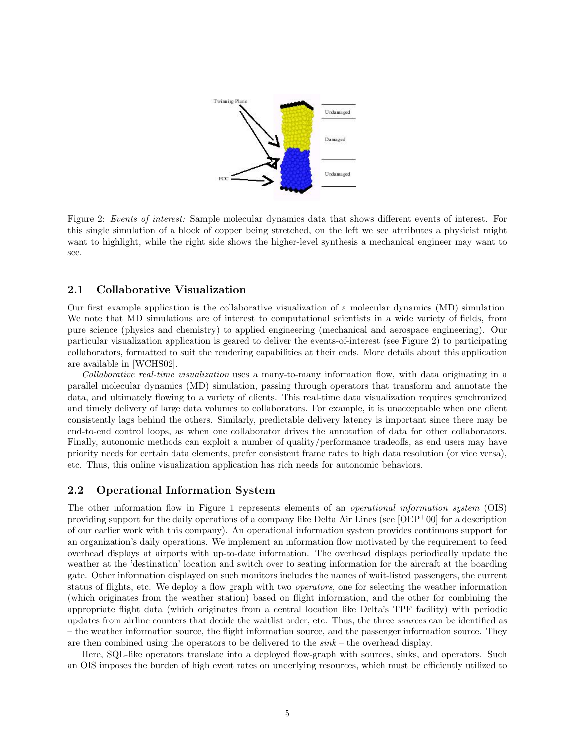

Figure 2: Events of interest: Sample molecular dynamics data that shows different events of interest. For this single simulation of a block of copper being stretched, on the left we see attributes a physicist might want to highlight, while the right side shows the higher-level synthesis a mechanical engineer may want to see.

#### 2.1 Collaborative Visualization

Our first example application is the collaborative visualization of a molecular dynamics (MD) simulation. We note that MD simulations are of interest to computational scientists in a wide variety of fields, from pure science (physics and chemistry) to applied engineering (mechanical and aerospace engineering). Our particular visualization application is geared to deliver the events-of-interest (see Figure 2) to participating collaborators, formatted to suit the rendering capabilities at their ends. More details about this application are available in [WCHS02].

Collaborative real-time visualization uses a many-to-many information flow, with data originating in a parallel molecular dynamics (MD) simulation, passing through operators that transform and annotate the data, and ultimately flowing to a variety of clients. This real-time data visualization requires synchronized and timely delivery of large data volumes to collaborators. For example, it is unacceptable when one client consistently lags behind the others. Similarly, predictable delivery latency is important since there may be end-to-end control loops, as when one collaborator drives the annotation of data for other collaborators. Finally, autonomic methods can exploit a number of quality/performance tradeoffs, as end users may have priority needs for certain data elements, prefer consistent frame rates to high data resolution (or vice versa), etc. Thus, this online visualization application has rich needs for autonomic behaviors.

#### 2.2 Operational Information System

The other information flow in Figure 1 represents elements of an operational information system (OIS) providing support for the daily operations of a company like Delta Air Lines (see  $[OEP<sup>+</sup>00]$  for a description of our earlier work with this company). An operational information system provides continuous support for an organization's daily operations. We implement an information flow motivated by the requirement to feed overhead displays at airports with up-to-date information. The overhead displays periodically update the weather at the 'destination' location and switch over to seating information for the aircraft at the boarding gate. Other information displayed on such monitors includes the names of wait-listed passengers, the current status of flights, etc. We deploy a flow graph with two operators, one for selecting the weather information (which originates from the weather station) based on flight information, and the other for combining the appropriate flight data (which originates from a central location like Delta's TPF facility) with periodic updates from airline counters that decide the waitlist order, etc. Thus, the three sources can be identified as – the weather information source, the flight information source, and the passenger information source. They are then combined using the operators to be delivered to the  $sink$  – the overhead display.

Here, SQL-like operators translate into a deployed flow-graph with sources, sinks, and operators. Such an OIS imposes the burden of high event rates on underlying resources, which must be efficiently utilized to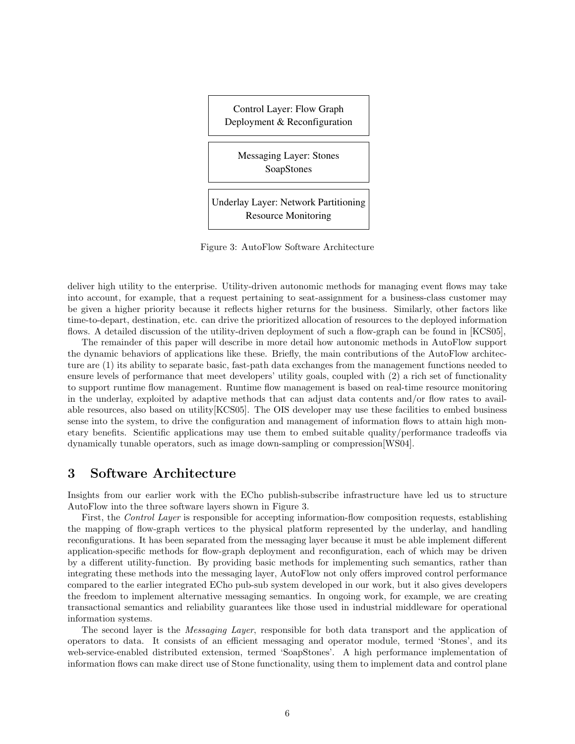

Figure 3: AutoFlow Software Architecture

deliver high utility to the enterprise. Utility-driven autonomic methods for managing event flows may take into account, for example, that a request pertaining to seat-assignment for a business-class customer may be given a higher priority because it reflects higher returns for the business. Similarly, other factors like time-to-depart, destination, etc. can drive the prioritized allocation of resources to the deployed information flows. A detailed discussion of the utility-driven deployment of such a flow-graph can be found in [KCS05],

The remainder of this paper will describe in more detail how autonomic methods in AutoFlow support the dynamic behaviors of applications like these. Briefly, the main contributions of the AutoFlow architecture are (1) its ability to separate basic, fast-path data exchanges from the management functions needed to ensure levels of performance that meet developers' utility goals, coupled with (2) a rich set of functionality to support runtime flow management. Runtime flow management is based on real-time resource monitoring in the underlay, exploited by adaptive methods that can adjust data contents and/or flow rates to available resources, also based on utility[KCS05]. The OIS developer may use these facilities to embed business sense into the system, to drive the configuration and management of information flows to attain high monetary benefits. Scientific applications may use them to embed suitable quality/performance tradeoffs via dynamically tunable operators, such as image down-sampling or compression[WS04].

### 3 Software Architecture

Insights from our earlier work with the ECho publish-subscribe infrastructure have led us to structure AutoFlow into the three software layers shown in Figure 3.

First, the Control Layer is responsible for accepting information-flow composition requests, establishing the mapping of flow-graph vertices to the physical platform represented by the underlay, and handling reconfigurations. It has been separated from the messaging layer because it must be able implement different application-specific methods for flow-graph deployment and reconfiguration, each of which may be driven by a different utility-function. By providing basic methods for implementing such semantics, rather than integrating these methods into the messaging layer, AutoFlow not only offers improved control performance compared to the earlier integrated ECho pub-sub system developed in our work, but it also gives developers the freedom to implement alternative messaging semantics. In ongoing work, for example, we are creating transactional semantics and reliability guarantees like those used in industrial middleware for operational information systems.

The second layer is the *Messaging Layer*, responsible for both data transport and the application of operators to data. It consists of an efficient messaging and operator module, termed 'Stones', and its web-service-enabled distributed extension, termed 'SoapStones'. A high performance implementation of information flows can make direct use of Stone functionality, using them to implement data and control plane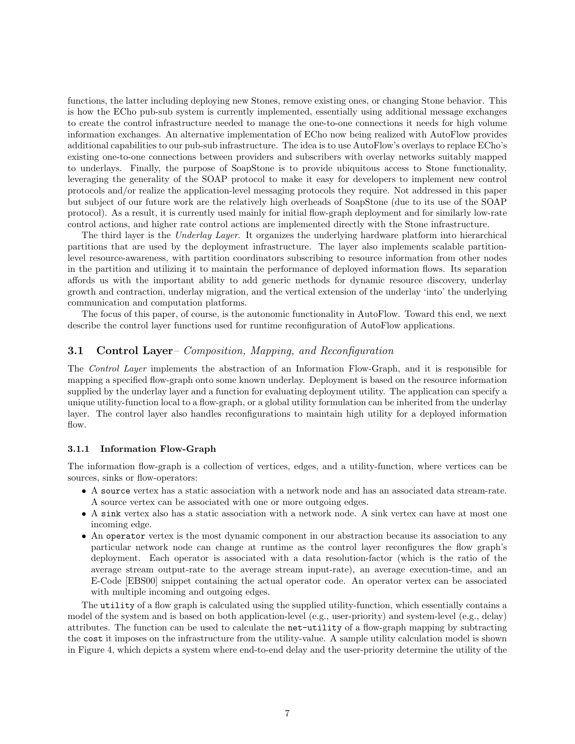functions, the latter including deploying new Stones, remove existing ones, or changing Stone behavior. This is how the ECho pub-sub system is currently implemented, essentially using additional message exchanges to create the control infrastructure needed to manage the one-to-one connections it needs for high volume information exchanges. An alternative implementation of ECho now being realized with AutoFlow provides additional capabilities to our pub-sub infrastructure. The idea is to use AutoFlow's overlays to replace ECho's existing one-to-one connections between providers and subscribers with overlay networks suitably mapped to underlays. Finally, the purpose of SoapStone is to provide ubiquitous access to Stone functionality, leveraging the generality of the SOAP protocol to make it easy for developers to implement new control protocols and/or realize the application-level messaging protocols they require. Not addressed in this paper but subject of our future work are the relatively high overheads of SoapStone (due to its use of the SOAP protocol). As a result, it is currently used mainly for initial flow-graph deployment and for similarly low-rate control actions, and higher rate control actions are implemented directly with the Stone infrastructure.

The third layer is the Underlay Layer. It organizes the underlying hardware platform into hierarchical partitions that are used by the deployment infrastructure. The layer also implements scalable partitionlevel resource-awareness, with partition coordinators subscribing to resource information from other nodes in the partition and utilizing it to maintain the performance of deployed information flows. Its separation affords us with the important ability to add generic methods for dynamic resource discovery, underlay growth and contraction, underlay migration, and the vertical extension of the underlay 'into' the underlying communication and computation platforms.

The focus of this paper, of course, is the autonomic functionality in AutoFlow. Toward this end, we next describe the control layer functions used for runtime reconfiguration of AutoFlow applications.

#### 3.1 Control Layer– Composition, Mapping, and Reconfiguration

The Control Layer implements the abstraction of an Information Flow-Graph, and it is responsible for mapping a specified flow-graph onto some known underlay. Deployment is based on the resource information supplied by the underlay layer and a function for evaluating deployment utility. The application can specify a unique utility-function local to a flow-graph, or a global utility formulation can be inherited from the underlay layer. The control layer also handles reconfigurations to maintain high utility for a deployed information flow.

#### 3.1.1 Information Flow-Graph

The information flow-graph is a collection of vertices, edges, and a utility-function, where vertices can be sources, sinks or flow-operators:

- A source vertex has a static association with a network node and has an associated data stream-rate. A source vertex can be associated with one or more outgoing edges.
- A sink vertex also has a static association with a network node. A sink vertex can have at most one incoming edge.
- An operator vertex is the most dynamic component in our abstraction because its association to any particular network node can change at runtime as the control layer reconfigures the flow graph's deployment. Each operator is associated with a data resolution-factor (which is the ratio of the average stream output-rate to the average stream input-rate), an average execution-time, and an E-Code [EBS00] snippet containing the actual operator code. An operator vertex can be associated with multiple incoming and outgoing edges.

The utility of a flow graph is calculated using the supplied utility-function, which essentially contains a model of the system and is based on both application-level (e.g., user-priority) and system-level (e.g., delay) attributes. The function can be used to calculate the net-utility of a flow-graph mapping by subtracting the cost it imposes on the infrastructure from the utility-value. A sample utility calculation model is shown in Figure 4, which depicts a system where end-to-end delay and the user-priority determine the utility of the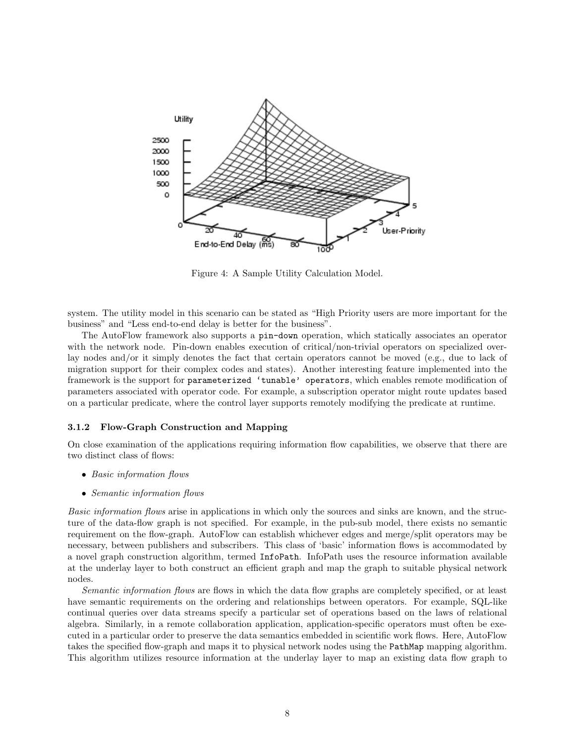

Figure 4: A Sample Utility Calculation Model.

system. The utility model in this scenario can be stated as "High Priority users are more important for the business" and "Less end-to-end delay is better for the business".

The AutoFlow framework also supports a pin-down operation, which statically associates an operator with the network node. Pin-down enables execution of critical/non-trivial operators on specialized overlay nodes and/or it simply denotes the fact that certain operators cannot be moved (e.g., due to lack of migration support for their complex codes and states). Another interesting feature implemented into the framework is the support for parameterized 'tunable' operators, which enables remote modification of parameters associated with operator code. For example, a subscription operator might route updates based on a particular predicate, where the control layer supports remotely modifying the predicate at runtime.

#### 3.1.2 Flow-Graph Construction and Mapping

On close examination of the applications requiring information flow capabilities, we observe that there are two distinct class of flows:

- Basic information flows
- Semantic information flows

Basic information flows arise in applications in which only the sources and sinks are known, and the structure of the data-flow graph is not specified. For example, in the pub-sub model, there exists no semantic requirement on the flow-graph. AutoFlow can establish whichever edges and merge/split operators may be necessary, between publishers and subscribers. This class of 'basic' information flows is accommodated by a novel graph construction algorithm, termed InfoPath. InfoPath uses the resource information available at the underlay layer to both construct an efficient graph and map the graph to suitable physical network nodes.

Semantic information flows are flows in which the data flow graphs are completely specified, or at least have semantic requirements on the ordering and relationships between operators. For example, SQL-like continual queries over data streams specify a particular set of operations based on the laws of relational algebra. Similarly, in a remote collaboration application, application-specific operators must often be executed in a particular order to preserve the data semantics embedded in scientific work flows. Here, AutoFlow takes the specified flow-graph and maps it to physical network nodes using the PathMap mapping algorithm. This algorithm utilizes resource information at the underlay layer to map an existing data flow graph to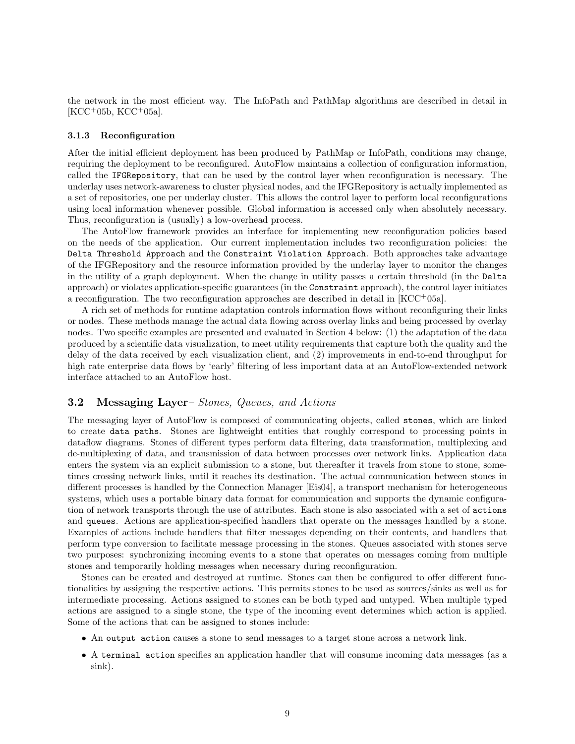the network in the most efficient way. The InfoPath and PathMap algorithms are described in detail in  $[KCC+05b, KCC+05a].$ 

#### 3.1.3 Reconfiguration

After the initial efficient deployment has been produced by PathMap or InfoPath, conditions may change, requiring the deployment to be reconfigured. AutoFlow maintains a collection of configuration information, called the IFGRepository, that can be used by the control layer when reconfiguration is necessary. The underlay uses network-awareness to cluster physical nodes, and the IFGRepository is actually implemented as a set of repositories, one per underlay cluster. This allows the control layer to perform local reconfigurations using local information whenever possible. Global information is accessed only when absolutely necessary. Thus, reconfiguration is (usually) a low-overhead process.

The AutoFlow framework provides an interface for implementing new reconfiguration policies based on the needs of the application. Our current implementation includes two reconfiguration policies: the Delta Threshold Approach and the Constraint Violation Approach. Both approaches take advantage of the IFGRepository and the resource information provided by the underlay layer to monitor the changes in the utility of a graph deployment. When the change in utility passes a certain threshold (in the Delta approach) or violates application-specific guarantees (in the Constraint approach), the control layer initiates a reconfiguration. The two reconfiguration approaches are described in detail in  $[KCC<sup>+</sup>05a]$ .

A rich set of methods for runtime adaptation controls information flows without reconfiguring their links or nodes. These methods manage the actual data flowing across overlay links and being processed by overlay nodes. Two specific examples are presented and evaluated in Section 4 below: (1) the adaptation of the data produced by a scientific data visualization, to meet utility requirements that capture both the quality and the delay of the data received by each visualization client, and (2) improvements in end-to-end throughput for high rate enterprise data flows by 'early' filtering of less important data at an AutoFlow-extended network interface attached to an AutoFlow host.

### 3.2 Messaging Layer– Stones, Queues, and Actions

The messaging layer of AutoFlow is composed of communicating objects, called stones, which are linked to create data paths. Stones are lightweight entities that roughly correspond to processing points in dataflow diagrams. Stones of different types perform data filtering, data transformation, multiplexing and de-multiplexing of data, and transmission of data between processes over network links. Application data enters the system via an explicit submission to a stone, but thereafter it travels from stone to stone, sometimes crossing network links, until it reaches its destination. The actual communication between stones in different processes is handled by the Connection Manager [Eis04], a transport mechanism for heterogeneous systems, which uses a portable binary data format for communication and supports the dynamic configuration of network transports through the use of attributes. Each stone is also associated with a set of actions and queues. Actions are application-specified handlers that operate on the messages handled by a stone. Examples of actions include handlers that filter messages depending on their contents, and handlers that perform type conversion to facilitate message processing in the stones. Queues associated with stones serve two purposes: synchronizing incoming events to a stone that operates on messages coming from multiple stones and temporarily holding messages when necessary during reconfiguration.

Stones can be created and destroyed at runtime. Stones can then be configured to offer different functionalities by assigning the respective actions. This permits stones to be used as sources/sinks as well as for intermediate processing. Actions assigned to stones can be both typed and untyped. When multiple typed actions are assigned to a single stone, the type of the incoming event determines which action is applied. Some of the actions that can be assigned to stones include:

- An output action causes a stone to send messages to a target stone across a network link.
- A terminal action specifies an application handler that will consume incoming data messages (as a sink).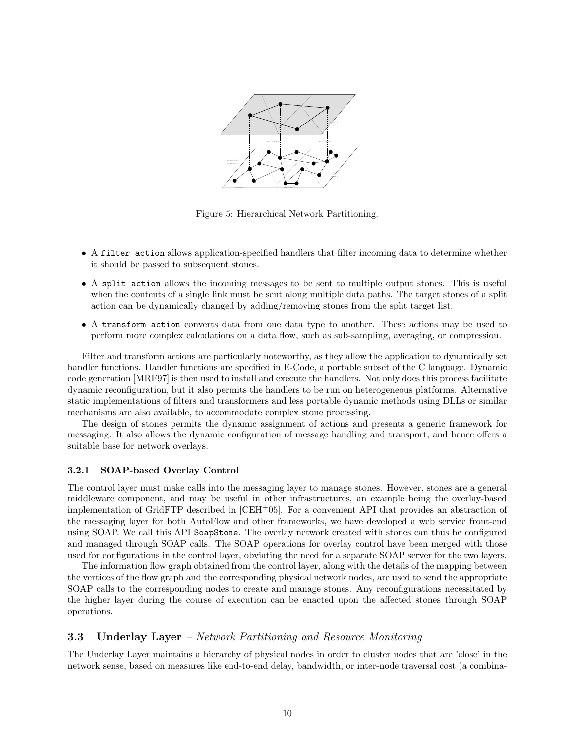

Figure 5: Hierarchical Network Partitioning.

- A filter action allows application-specified handlers that filter incoming data to determine whether it should be passed to subsequent stones.
- A split action allows the incoming messages to be sent to multiple output stones. This is useful when the contents of a single link must be sent along multiple data paths. The target stones of a split action can be dynamically changed by adding/removing stones from the split target list.
- A transform action converts data from one data type to another. These actions may be used to perform more complex calculations on a data flow, such as sub-sampling, averaging, or compression.

Filter and transform actions are particularly noteworthy, as they allow the application to dynamically set handler functions. Handler functions are specified in E-Code, a portable subset of the C language. Dynamic code generation [MRF97] is then used to install and execute the handlers. Not only does this process facilitate dynamic reconfiguration, but it also permits the handlers to be run on heterogeneous platforms. Alternative static implementations of filters and transformers and less portable dynamic methods using DLLs or similar mechanisms are also available, to accommodate complex stone processing.

The design of stones permits the dynamic assignment of actions and presents a generic framework for messaging. It also allows the dynamic configuration of message handling and transport, and hence offers a suitable base for network overlays.

#### 3.2.1 SOAP-based Overlay Control

The control layer must make calls into the messaging layer to manage stones. However, stones are a general middleware component, and may be useful in other infrastructures, an example being the overlay-based implementation of GridFTP described in  $[CEH<sup>+</sup>05]$ . For a convenient API that provides an abstraction of the messaging layer for both AutoFlow and other frameworks, we have developed a web service front-end using SOAP. We call this API SoapStone. The overlay network created with stones can thus be configured and managed through SOAP calls. The SOAP operations for overlay control have been merged with those used for configurations in the control layer, obviating the need for a separate SOAP server for the two layers.

The information flow graph obtained from the control layer, along with the details of the mapping between the vertices of the flow graph and the corresponding physical network nodes, are used to send the appropriate SOAP calls to the corresponding nodes to create and manage stones. Any reconfigurations necessitated by the higher layer during the course of execution can be enacted upon the affected stones through SOAP operations.

#### 3.3 Underlay Layer – Network Partitioning and Resource Monitoring

The Underlay Layer maintains a hierarchy of physical nodes in order to cluster nodes that are 'close' in the network sense, based on measures like end-to-end delay, bandwidth, or inter-node traversal cost (a combina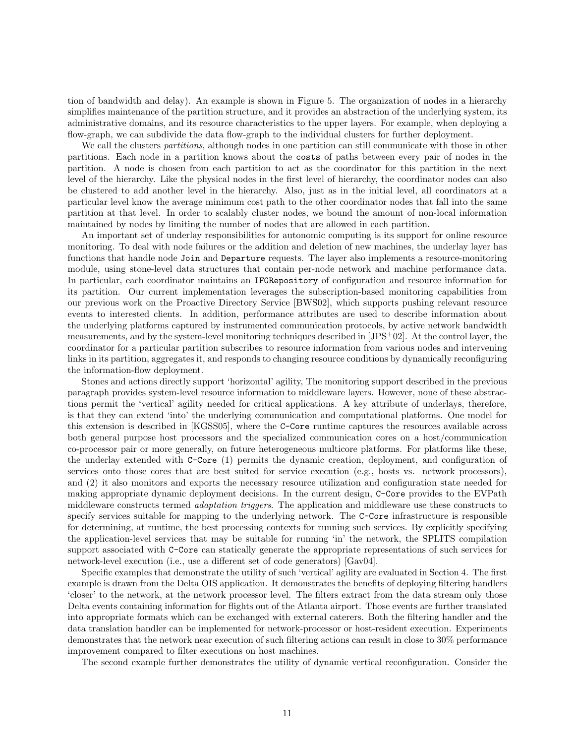tion of bandwidth and delay). An example is shown in Figure 5. The organization of nodes in a hierarchy simplifies maintenance of the partition structure, and it provides an abstraction of the underlying system, its administrative domains, and its resource characteristics to the upper layers. For example, when deploying a flow-graph, we can subdivide the data flow-graph to the individual clusters for further deployment.

We call the clusters partitions, although nodes in one partition can still communicate with those in other partitions. Each node in a partition knows about the costs of paths between every pair of nodes in the partition. A node is chosen from each partition to act as the coordinator for this partition in the next level of the hierarchy. Like the physical nodes in the first level of hierarchy, the coordinator nodes can also be clustered to add another level in the hierarchy. Also, just as in the initial level, all coordinators at a particular level know the average minimum cost path to the other coordinator nodes that fall into the same partition at that level. In order to scalably cluster nodes, we bound the amount of non-local information maintained by nodes by limiting the number of nodes that are allowed in each partition.

An important set of underlay responsibilities for autonomic computing is its support for online resource monitoring. To deal with node failures or the addition and deletion of new machines, the underlay layer has functions that handle node Join and Departure requests. The layer also implements a resource-monitoring module, using stone-level data structures that contain per-node network and machine performance data. In particular, each coordinator maintains an IFGRepository of configuration and resource information for its partition. Our current implementation leverages the subscription-based monitoring capabilities from our previous work on the Proactive Directory Service [BWS02], which supports pushing relevant resource events to interested clients. In addition, performance attributes are used to describe information about the underlying platforms captured by instrumented communication protocols, by active network bandwidth measurements, and by the system-level monitoring techniques described in [JPS<sup>+</sup>02]. At the control layer, the coordinator for a particular partition subscribes to resource information from various nodes and intervening links in its partition, aggregates it, and responds to changing resource conditions by dynamically reconfiguring the information-flow deployment.

Stones and actions directly support 'horizontal' agility, The monitoring support described in the previous paragraph provides system-level resource information to middleware layers. However, none of these abstractions permit the 'vertical' agility needed for critical applications. A key attribute of underlays, therefore, is that they can extend 'into' the underlying communication and computational platforms. One model for this extension is described in [KGSS05], where the C-Core runtime captures the resources available across both general purpose host processors and the specialized communication cores on a host/communication co-processor pair or more generally, on future heterogeneous multicore platforms. For platforms like these, the underlay extended with C-Core (1) permits the dynamic creation, deployment, and configuration of services onto those cores that are best suited for service execution (e.g., hosts vs. network processors), and (2) it also monitors and exports the necessary resource utilization and configuration state needed for making appropriate dynamic deployment decisions. In the current design, C-Core provides to the EVPath middleware constructs termed adaptation triggers. The application and middleware use these constructs to specify services suitable for mapping to the underlying network. The C-Core infrastructure is responsible for determining, at runtime, the best processing contexts for running such services. By explicitly specifying the application-level services that may be suitable for running 'in' the network, the SPLITS compilation support associated with C-Core can statically generate the appropriate representations of such services for network-level execution (i.e., use a different set of code generators) [Gav04].

Specific examples that demonstrate the utility of such 'vertical' agility are evaluated in Section 4. The first example is drawn from the Delta OIS application. It demonstrates the benefits of deploying filtering handlers 'closer' to the network, at the network processor level. The filters extract from the data stream only those Delta events containing information for flights out of the Atlanta airport. Those events are further translated into appropriate formats which can be exchanged with external caterers. Both the filtering handler and the data translation handler can be implemented for network-processor or host-resident execution. Experiments demonstrates that the network near execution of such filtering actions can result in close to 30% performance improvement compared to filter executions on host machines.

The second example further demonstrates the utility of dynamic vertical reconfiguration. Consider the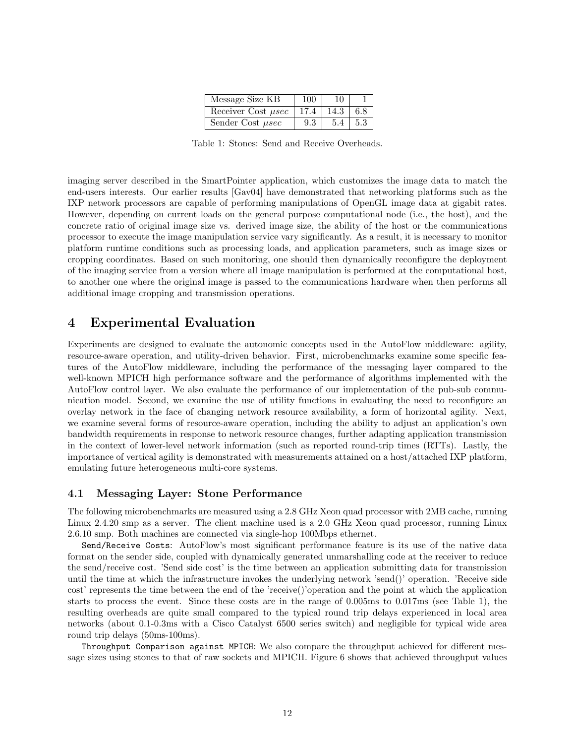| Message Size KB                             | 100 | 10            |  |
|---------------------------------------------|-----|---------------|--|
| Receiver Cost $\mu sec$   17.4   14.3   6.8 |     |               |  |
| Sender Cost $\mu sec$                       | 9.3 | $5.4 \pm 5.3$ |  |

Table 1: Stones: Send and Receive Overheads.

imaging server described in the SmartPointer application, which customizes the image data to match the end-users interests. Our earlier results [Gav04] have demonstrated that networking platforms such as the IXP network processors are capable of performing manipulations of OpenGL image data at gigabit rates. However, depending on current loads on the general purpose computational node (i.e., the host), and the concrete ratio of original image size vs. derived image size, the ability of the host or the communications processor to execute the image manipulation service vary significantly. As a result, it is necessary to monitor platform runtime conditions such as processing loads, and application parameters, such as image sizes or cropping coordinates. Based on such monitoring, one should then dynamically reconfigure the deployment of the imaging service from a version where all image manipulation is performed at the computational host, to another one where the original image is passed to the communications hardware when then performs all additional image cropping and transmission operations.

## 4 Experimental Evaluation

Experiments are designed to evaluate the autonomic concepts used in the AutoFlow middleware: agility, resource-aware operation, and utility-driven behavior. First, microbenchmarks examine some specific features of the AutoFlow middleware, including the performance of the messaging layer compared to the well-known MPICH high performance software and the performance of algorithms implemented with the AutoFlow control layer. We also evaluate the performance of our implementation of the pub-sub communication model. Second, we examine the use of utility functions in evaluating the need to reconfigure an overlay network in the face of changing network resource availability, a form of horizontal agility. Next, we examine several forms of resource-aware operation, including the ability to adjust an application's own bandwidth requirements in response to network resource changes, further adapting application transmission in the context of lower-level network information (such as reported round-trip times (RTTs). Lastly, the importance of vertical agility is demonstrated with measurements attained on a host/attached IXP platform, emulating future heterogeneous multi-core systems.

### 4.1 Messaging Layer: Stone Performance

The following microbenchmarks are measured using a 2.8 GHz Xeon quad processor with 2MB cache, running Linux 2.4.20 smp as a server. The client machine used is a 2.0 GHz Xeon quad processor, running Linux 2.6.10 smp. Both machines are connected via single-hop 100Mbps ethernet.

Send/Receive Costs: AutoFlow's most significant performance feature is its use of the native data format on the sender side, coupled with dynamically generated unmarshalling code at the receiver to reduce the send/receive cost. 'Send side cost' is the time between an application submitting data for transmission until the time at which the infrastructure invokes the underlying network 'send()' operation. 'Receive side cost' represents the time between the end of the 'receive()'operation and the point at which the application starts to process the event. Since these costs are in the range of 0.005ms to 0.017ms (see Table 1), the resulting overheads are quite small compared to the typical round trip delays experienced in local area networks (about 0.1-0.3ms with a Cisco Catalyst 6500 series switch) and negligible for typical wide area round trip delays (50ms-100ms).

Throughput Comparison against MPICH: We also compare the throughput achieved for different message sizes using stones to that of raw sockets and MPICH. Figure 6 shows that achieved throughput values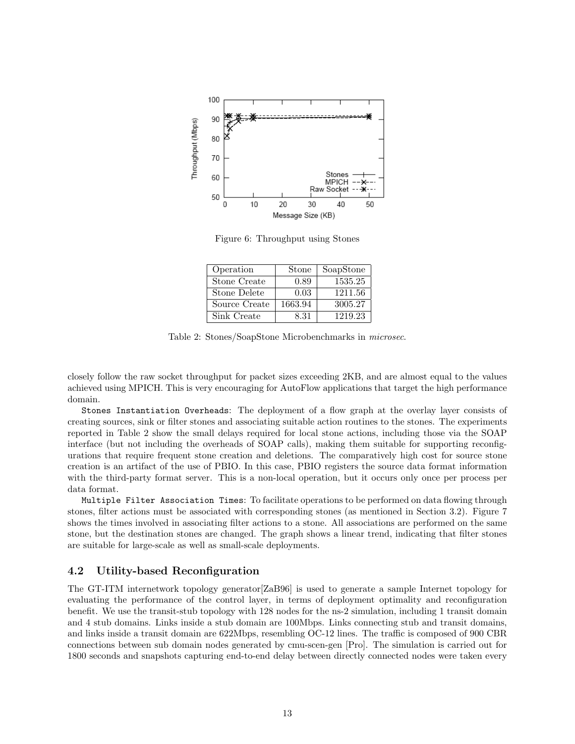

Figure 6: Throughput using Stones

| Operation     | Stone   | SoapStone |
|---------------|---------|-----------|
| Stone Create  | 0.89    | 1535.25   |
| Stone Delete  | 0.03    | 1211.56   |
| Source Create | 1663.94 | 3005.27   |
| Sink Create   | 8.31    | 1219.23   |

Table 2: Stones/SoapStone Microbenchmarks in microsec.

closely follow the raw socket throughput for packet sizes exceeding 2KB, and are almost equal to the values achieved using MPICH. This is very encouraging for AutoFlow applications that target the high performance domain.

Stones Instantiation Overheads: The deployment of a flow graph at the overlay layer consists of creating sources, sink or filter stones and associating suitable action routines to the stones. The experiments reported in Table 2 show the small delays required for local stone actions, including those via the SOAP interface (but not including the overheads of SOAP calls), making them suitable for supporting reconfigurations that require frequent stone creation and deletions. The comparatively high cost for source stone creation is an artifact of the use of PBIO. In this case, PBIO registers the source data format information with the third-party format server. This is a non-local operation, but it occurs only once per process per data format.

Multiple Filter Association Times: To facilitate operations to be performed on data flowing through stones, filter actions must be associated with corresponding stones (as mentioned in Section 3.2). Figure 7 shows the times involved in associating filter actions to a stone. All associations are performed on the same stone, but the destination stones are changed. The graph shows a linear trend, indicating that filter stones are suitable for large-scale as well as small-scale deployments.

#### 4.2 Utility-based Reconfiguration

The GT-ITM internetwork topology generator[ZaB96] is used to generate a sample Internet topology for evaluating the performance of the control layer, in terms of deployment optimality and reconfiguration benefit. We use the transit-stub topology with 128 nodes for the ns-2 simulation, including 1 transit domain and 4 stub domains. Links inside a stub domain are 100Mbps. Links connecting stub and transit domains, and links inside a transit domain are 622Mbps, resembling OC-12 lines. The traffic is composed of 900 CBR connections between sub domain nodes generated by cmu-scen-gen [Pro]. The simulation is carried out for 1800 seconds and snapshots capturing end-to-end delay between directly connected nodes were taken every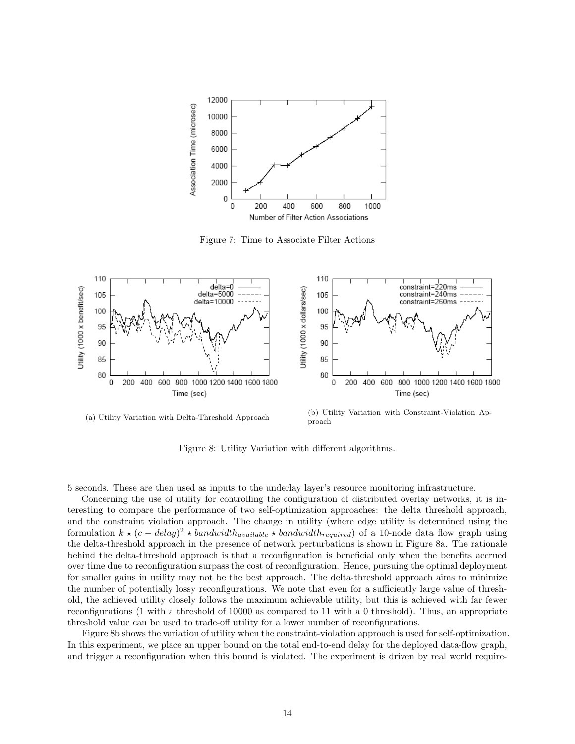

Figure 7: Time to Associate Filter Actions



(a) Utility Variation with Delta-Threshold Approach (b) Utility Variation with Constraint-Violation Approach

Figure 8: Utility Variation with different algorithms.

5 seconds. These are then used as inputs to the underlay layer's resource monitoring infrastructure.

Concerning the use of utility for controlling the configuration of distributed overlay networks, it is interesting to compare the performance of two self-optimization approaches: the delta threshold approach, and the constraint violation approach. The change in utility (where edge utility is determined using the formulation  $k \star (c - delay)^2 \star bandwidth_{available} \star bandwidth_{required})$  of a 10-node data flow graph using the delta-threshold approach in the presence of network perturbations is shown in Figure 8a. The rationale behind the delta-threshold approach is that a reconfiguration is beneficial only when the benefits accrued over time due to reconfiguration surpass the cost of reconfiguration. Hence, pursuing the optimal deployment for smaller gains in utility may not be the best approach. The delta-threshold approach aims to minimize the number of potentially lossy reconfigurations. We note that even for a sufficiently large value of threshold, the achieved utility closely follows the maximum achievable utility, but this is achieved with far fewer reconfigurations (1 with a threshold of 10000 as compared to 11 with a 0 threshold). Thus, an appropriate threshold value can be used to trade-off utility for a lower number of reconfigurations.

Figure 8b shows the variation of utility when the constraint-violation approach is used for self-optimization. In this experiment, we place an upper bound on the total end-to-end delay for the deployed data-flow graph, and trigger a reconfiguration when this bound is violated. The experiment is driven by real world require-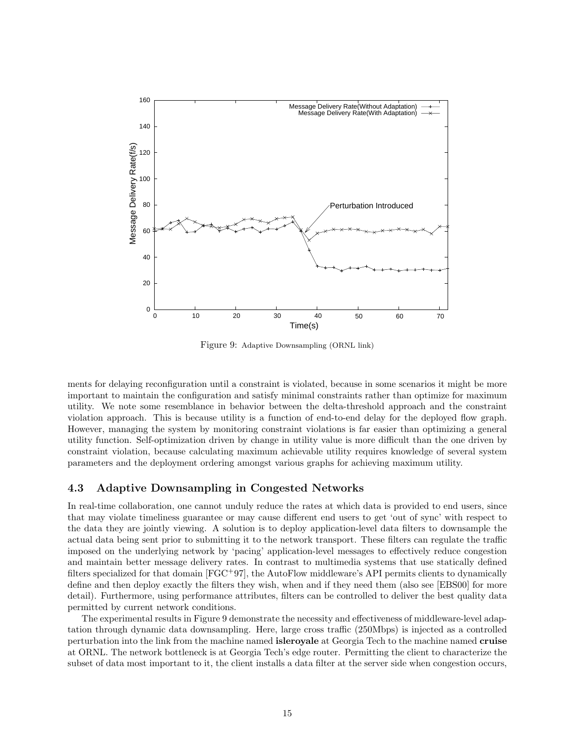

Figure 9: Adaptive Downsampling (ORNL link)

ments for delaying reconfiguration until a constraint is violated, because in some scenarios it might be more important to maintain the configuration and satisfy minimal constraints rather than optimize for maximum utility. We note some resemblance in behavior between the delta-threshold approach and the constraint violation approach. This is because utility is a function of end-to-end delay for the deployed flow graph. However, managing the system by monitoring constraint violations is far easier than optimizing a general utility function. Self-optimization driven by change in utility value is more difficult than the one driven by constraint violation, because calculating maximum achievable utility requires knowledge of several system parameters and the deployment ordering amongst various graphs for achieving maximum utility.

#### 4.3 Adaptive Downsampling in Congested Networks

In real-time collaboration, one cannot unduly reduce the rates at which data is provided to end users, since that may violate timeliness guarantee or may cause different end users to get 'out of sync' with respect to the data they are jointly viewing. A solution is to deploy application-level data filters to downsample the actual data being sent prior to submitting it to the network transport. These filters can regulate the traffic imposed on the underlying network by 'pacing' application-level messages to effectively reduce congestion and maintain better message delivery rates. In contrast to multimedia systems that use statically defined filters specialized for that domain  $[FGC+97]$ , the AutoFlow middleware's API permits clients to dynamically define and then deploy exactly the filters they wish, when and if they need them (also see [EBS00] for more detail). Furthermore, using performance attributes, filters can be controlled to deliver the best quality data permitted by current network conditions.

The experimental results in Figure 9 demonstrate the necessity and effectiveness of middleware-level adaptation through dynamic data downsampling. Here, large cross traffic (250Mbps) is injected as a controlled perturbation into the link from the machine named isleroyale at Georgia Tech to the machine named cruise at ORNL. The network bottleneck is at Georgia Tech's edge router. Permitting the client to characterize the subset of data most important to it, the client installs a data filter at the server side when congestion occurs,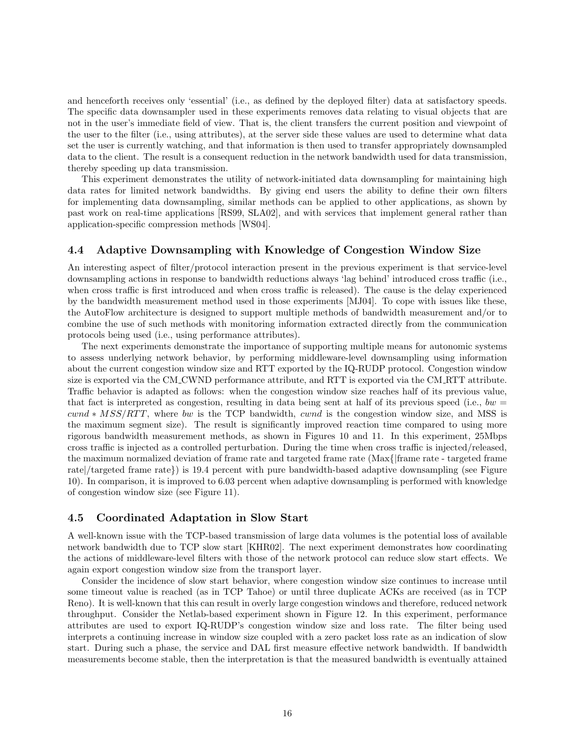and henceforth receives only 'essential' (i.e., as defined by the deployed filter) data at satisfactory speeds. The specific data downsampler used in these experiments removes data relating to visual objects that are not in the user's immediate field of view. That is, the client transfers the current position and viewpoint of the user to the filter (i.e., using attributes), at the server side these values are used to determine what data set the user is currently watching, and that information is then used to transfer appropriately downsampled data to the client. The result is a consequent reduction in the network bandwidth used for data transmission, thereby speeding up data transmission.

This experiment demonstrates the utility of network-initiated data downsampling for maintaining high data rates for limited network bandwidths. By giving end users the ability to define their own filters for implementing data downsampling, similar methods can be applied to other applications, as shown by past work on real-time applications [RS99, SLA02], and with services that implement general rather than application-specific compression methods [WS04].

#### 4.4 Adaptive Downsampling with Knowledge of Congestion Window Size

An interesting aspect of filter/protocol interaction present in the previous experiment is that service-level downsampling actions in response to bandwidth reductions always 'lag behind' introduced cross traffic (i.e., when cross traffic is first introduced and when cross traffic is released). The cause is the delay experienced by the bandwidth measurement method used in those experiments [MJ04]. To cope with issues like these, the AutoFlow architecture is designed to support multiple methods of bandwidth measurement and/or to combine the use of such methods with monitoring information extracted directly from the communication protocols being used (i.e., using performance attributes).

The next experiments demonstrate the importance of supporting multiple means for autonomic systems to assess underlying network behavior, by performing middleware-level downsampling using information about the current congestion window size and RTT exported by the IQ-RUDP protocol. Congestion window size is exported via the CM CWND performance attribute, and RTT is exported via the CM RTT attribute. Traffic behavior is adapted as follows: when the congestion window size reaches half of its previous value, that fact is interpreted as congestion, resulting in data being sent at half of its previous speed (i.e.,  $bw =$  $cwnd * MSS/RTT$ , where bw is the TCP bandwidth,  $cwnd$  is the congestion window size, and MSS is the maximum segment size). The result is significantly improved reaction time compared to using more rigorous bandwidth measurement methods, as shown in Figures 10 and 11. In this experiment, 25Mbps cross traffic is injected as a controlled perturbation. During the time when cross traffic is injected/released, the maximum normalized deviation of frame rate and targeted frame rate (Max{|frame rate - targeted frame rate|/targeted frame rate}) is 19.4 percent with pure bandwidth-based adaptive downsampling (see Figure 10). In comparison, it is improved to 6.03 percent when adaptive downsampling is performed with knowledge of congestion window size (see Figure 11).

### 4.5 Coordinated Adaptation in Slow Start

A well-known issue with the TCP-based transmission of large data volumes is the potential loss of available network bandwidth due to TCP slow start [KHR02]. The next experiment demonstrates how coordinating the actions of middleware-level filters with those of the network protocol can reduce slow start effects. We again export congestion window size from the transport layer.

Consider the incidence of slow start behavior, where congestion window size continues to increase until some timeout value is reached (as in TCP Tahoe) or until three duplicate ACKs are received (as in TCP Reno). It is well-known that this can result in overly large congestion windows and therefore, reduced network throughput. Consider the Netlab-based experiment shown in Figure 12. In this experiment, performance attributes are used to export IQ-RUDP's congestion window size and loss rate. The filter being used interprets a continuing increase in window size coupled with a zero packet loss rate as an indication of slow start. During such a phase, the service and DAL first measure effective network bandwidth. If bandwidth measurements become stable, then the interpretation is that the measured bandwidth is eventually attained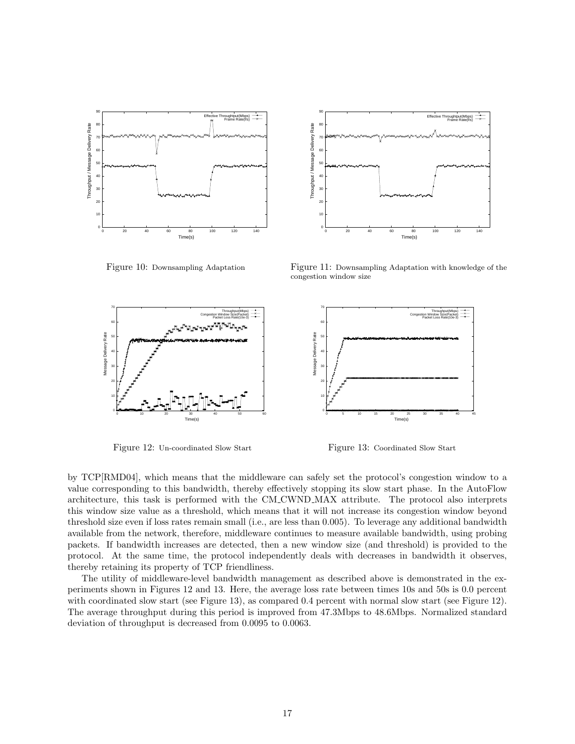

Figure 10: Downsampling Adaptation



Figure 11: Downsampling Adaptation with knowledge of the congestion window size



Figure 12: Un-coordinated Slow Start



Figure 13: Coordinated Slow Start

by TCP[RMD04], which means that the middleware can safely set the protocol's congestion window to a value corresponding to this bandwidth, thereby effectively stopping its slow start phase. In the AutoFlow architecture, this task is performed with the CM CWND MAX attribute. The protocol also interprets this window size value as a threshold, which means that it will not increase its congestion window beyond threshold size even if loss rates remain small (i.e., are less than 0.005). To leverage any additional bandwidth available from the network, therefore, middleware continues to measure available bandwidth, using probing packets. If bandwidth increases are detected, then a new window size (and threshold) is provided to the protocol. At the same time, the protocol independently deals with decreases in bandwidth it observes, thereby retaining its property of TCP friendliness.

The utility of middleware-level bandwidth management as described above is demonstrated in the experiments shown in Figures 12 and 13. Here, the average loss rate between times 10s and 50s is 0.0 percent with coordinated slow start (see Figure 13), as compared 0.4 percent with normal slow start (see Figure 12). The average throughput during this period is improved from 47.3Mbps to 48.6Mbps. Normalized standard deviation of throughput is decreased from 0.0095 to 0.0063.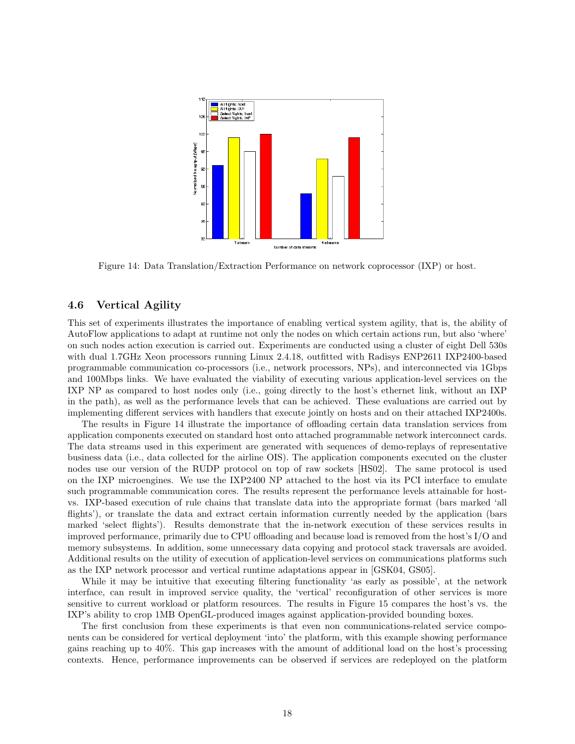

Figure 14: Data Translation/Extraction Performance on network coprocessor (IXP) or host.

### 4.6 Vertical Agility

This set of experiments illustrates the importance of enabling vertical system agility, that is, the ability of AutoFlow applications to adapt at runtime not only the nodes on which certain actions run, but also 'where' on such nodes action execution is carried out. Experiments are conducted using a cluster of eight Dell 530s with dual 1.7GHz Xeon processors running Linux 2.4.18, outfitted with Radisys ENP2611 IXP2400-based programmable communication co-processors (i.e., network processors, NPs), and interconnected via 1Gbps and 100Mbps links. We have evaluated the viability of executing various application-level services on the IXP NP as compared to host nodes only (i.e., going directly to the host's ethernet link, without an IXP in the path), as well as the performance levels that can be achieved. These evaluations are carried out by implementing different services with handlers that execute jointly on hosts and on their attached IXP2400s.

The results in Figure 14 illustrate the importance of offloading certain data translation services from application components executed on standard host onto attached programmable network interconnect cards. The data streams used in this experiment are generated with sequences of demo-replays of representative business data (i.e., data collected for the airline OIS). The application components executed on the cluster nodes use our version of the RUDP protocol on top of raw sockets [HS02]. The same protocol is used on the IXP microengines. We use the IXP2400 NP attached to the host via its PCI interface to emulate such programmable communication cores. The results represent the performance levels attainable for hostvs. IXP-based execution of rule chains that translate data into the appropriate format (bars marked 'all flights'), or translate the data and extract certain information currently needed by the application (bars marked 'select flights'). Results demonstrate that the in-network execution of these services results in improved performance, primarily due to CPU offloading and because load is removed from the host's I/O and memory subsystems. In addition, some unnecessary data copying and protocol stack traversals are avoided. Additional results on the utility of execution of application-level services on communications platforms such as the IXP network processor and vertical runtime adaptations appear in [GSK04, GS05].

While it may be intuitive that executing filtering functionality 'as early as possible', at the network interface, can result in improved service quality, the 'vertical' reconfiguration of other services is more sensitive to current workload or platform resources. The results in Figure 15 compares the host's vs. the IXP's ability to crop 1MB OpenGL-produced images against application-provided bounding boxes.

The first conclusion from these experiments is that even non communications-related service components can be considered for vertical deployment 'into' the platform, with this example showing performance gains reaching up to 40%. This gap increases with the amount of additional load on the host's processing contexts. Hence, performance improvements can be observed if services are redeployed on the platform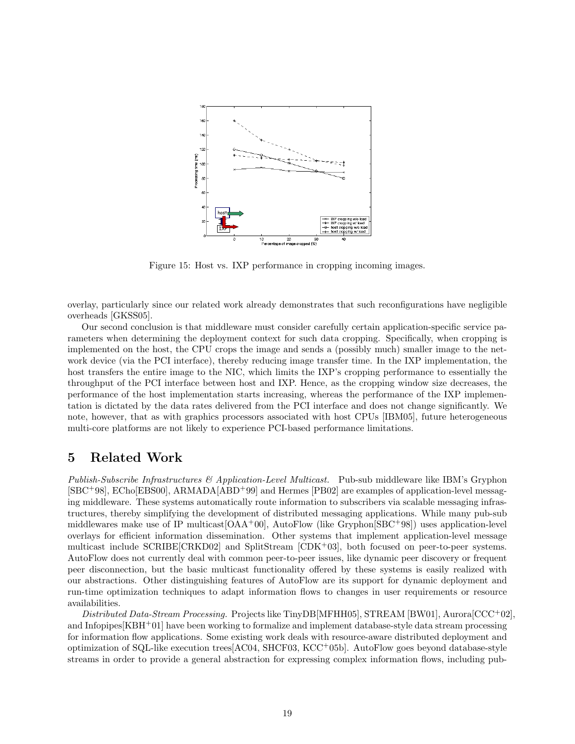

Figure 15: Host vs. IXP performance in cropping incoming images.

overlay, particularly since our related work already demonstrates that such reconfigurations have negligible overheads [GKSS05].

Our second conclusion is that middleware must consider carefully certain application-specific service parameters when determining the deployment context for such data cropping. Specifically, when cropping is implemented on the host, the CPU crops the image and sends a (possibly much) smaller image to the network device (via the PCI interface), thereby reducing image transfer time. In the IXP implementation, the host transfers the entire image to the NIC, which limits the IXP's cropping performance to essentially the throughput of the PCI interface between host and IXP. Hence, as the cropping window size decreases, the performance of the host implementation starts increasing, whereas the performance of the IXP implementation is dictated by the data rates delivered from the PCI interface and does not change significantly. We note, however, that as with graphics processors associated with host CPUs [IBM05], future heterogeneous multi-core platforms are not likely to experience PCI-based performance limitations.

## 5 Related Work

Publish-Subscribe Infrastructures & Application-Level Multicast. Pub-sub middleware like IBM's Gryphon [SBC<sup>+</sup>98], ECho[EBS00], ARMADA[ABD<sup>+</sup>99] and Hermes [PB02] are examples of application-level messaging middleware. These systems automatically route information to subscribers via scalable messaging infrastructures, thereby simplifying the development of distributed messaging applications. While many pub-sub middlewares make use of IP multicast  $[OAA^+00]$ , AutoFlow (like Gryphon $[SBC^+98]$ ) uses application-level overlays for efficient information dissemination. Other systems that implement application-level message multicast include SCRIBE[CRKD02] and SplitStream [CDK<sup>+</sup>03], both focused on peer-to-peer systems. AutoFlow does not currently deal with common peer-to-peer issues, like dynamic peer discovery or frequent peer disconnection, but the basic multicast functionality offered by these systems is easily realized with our abstractions. Other distinguishing features of AutoFlow are its support for dynamic deployment and run-time optimization techniques to adapt information flows to changes in user requirements or resource availabilities.

Distributed Data-Stream Processing. Projects like TinyDB[MFHH05], STREAM [BW01], Aurora $[CCC^+02]$ and Infopipes [KBH+01] have been working to formalize and implement database-style data stream processing for information flow applications. Some existing work deals with resource-aware distributed deployment and optimization of SQL-like execution trees[AC04, SHCF03, KCC<sup>+</sup>05b]. AutoFlow goes beyond database-style streams in order to provide a general abstraction for expressing complex information flows, including pub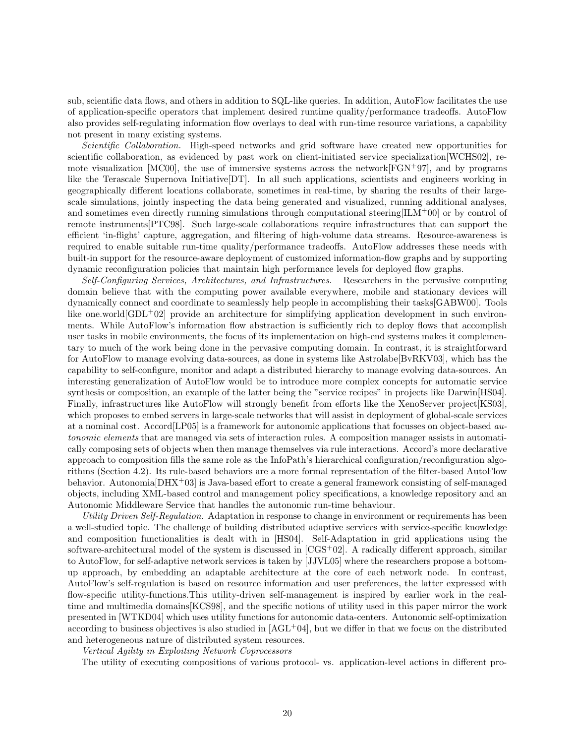sub, scientific data flows, and others in addition to SQL-like queries. In addition, AutoFlow facilitates the use of application-specific operators that implement desired runtime quality/performance tradeoffs. AutoFlow also provides self-regulating information flow overlays to deal with run-time resource variations, a capability not present in many existing systems.

Scientific Collaboration. High-speed networks and grid software have created new opportunities for scientific collaboration, as evidenced by past work on client-initiated service specialization[WCHS02], remote visualization  $[MCO0]$ , the use of immersive systems across the network $[FGN+97]$ , and by programs like the Terascale Supernova Initiative[DT]. In all such applications, scientists and engineers working in geographically different locations collaborate, sometimes in real-time, by sharing the results of their largescale simulations, jointly inspecting the data being generated and visualized, running additional analyses, and sometimes even directly running simulations through computational steering  $|ILM+00|$  or by control of remote instruments[PTC98]. Such large-scale collaborations require infrastructures that can support the efficient 'in-flight' capture, aggregation, and filtering of high-volume data streams. Resource-awareness is required to enable suitable run-time quality/performance tradeoffs. AutoFlow addresses these needs with built-in support for the resource-aware deployment of customized information-flow graphs and by supporting dynamic reconfiguration policies that maintain high performance levels for deployed flow graphs.

Self-Configuring Services, Architectures, and Infrastructures. Researchers in the pervasive computing domain believe that with the computing power available everywhere, mobile and stationary devices will dynamically connect and coordinate to seamlessly help people in accomplishing their tasks[GABW00]. Tools like one.world[GDL<sup>+</sup>02] provide an architecture for simplifying application development in such environments. While AutoFlow's information flow abstraction is sufficiently rich to deploy flows that accomplish user tasks in mobile environments, the focus of its implementation on high-end systems makes it complementary to much of the work being done in the pervasive computing domain. In contrast, it is straightforward for AutoFlow to manage evolving data-sources, as done in systems like Astrolabe[BvRKV03], which has the capability to self-configure, monitor and adapt a distributed hierarchy to manage evolving data-sources. An interesting generalization of AutoFlow would be to introduce more complex concepts for automatic service synthesis or composition, an example of the latter being the "service recipes" in projects like Darwin[HS04]. Finally, infrastructures like AutoFlow will strongly benefit from efforts like the XenoServer project[KS03], which proposes to embed servers in large-scale networks that will assist in deployment of global-scale services at a nominal cost. Accord[LP05] is a framework for autonomic applications that focusses on object-based autonomic elements that are managed via sets of interaction rules. A composition manager assists in automatically composing sets of objects when then manage themselves via rule interactions. Accord's more declarative approach to composition fills the same role as the InfoPath's hierarchical configuration/reconfiguration algorithms (Section 4.2). Its rule-based behaviors are a more formal representation of the filter-based AutoFlow behavior. Autonomia[DHX<sup>+</sup>03] is Java-based effort to create a general framework consisting of self-managed objects, including XML-based control and management policy specifications, a knowledge repository and an Autonomic Middleware Service that handles the autonomic run-time behaviour.

Utility Driven Self-Regulation. Adaptation in response to change in environment or requirements has been a well-studied topic. The challenge of building distributed adaptive services with service-specific knowledge and composition functionalities is dealt with in [HS04]. Self-Adaptation in grid applications using the software-architectural model of the system is discussed in  $[CGS^+02]$ . A radically different approach, similar to AutoFlow, for self-adaptive network services is taken by [JJVL05] where the researchers propose a bottomup approach, by embedding an adaptable architecture at the core of each network node. In contrast, AutoFlow's self-regulation is based on resource information and user preferences, the latter expressed with flow-specific utility-functions.This utility-driven self-management is inspired by earlier work in the realtime and multimedia domains[KCS98], and the specific notions of utility used in this paper mirror the work presented in [WTKD04] which uses utility functions for autonomic data-centers. Autonomic self-optimization according to business objectives is also studied in  $[AGL^+04]$ , but we differ in that we focus on the distributed and heterogeneous nature of distributed system resources.

Vertical Agility in Exploiting Network Coprocessors

The utility of executing compositions of various protocol- vs. application-level actions in different pro-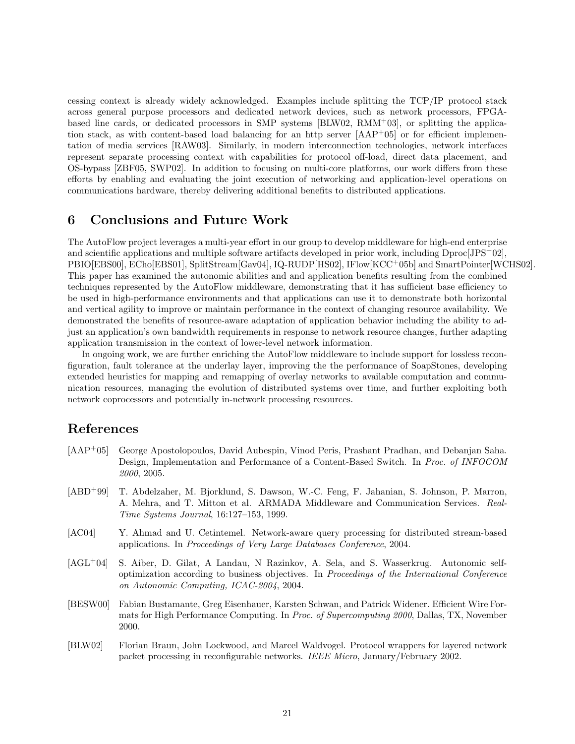cessing context is already widely acknowledged. Examples include splitting the TCP/IP protocol stack across general purpose processors and dedicated network devices, such as network processors, FPGAbased line cards, or dedicated processors in SMP systems [BLW02, RMM<sup>+</sup>03], or splitting the application stack, as with content-based load balancing for an http server  $[AAP<sup>+</sup>05]$  or for efficient implementation of media services [RAW03]. Similarly, in modern interconnection technologies, network interfaces represent separate processing context with capabilities for protocol off-load, direct data placement, and OS-bypass [ZBF05, SWP02]. In addition to focusing on multi-core platforms, our work differs from these efforts by enabling and evaluating the joint execution of networking and application-level operations on communications hardware, thereby delivering additional benefits to distributed applications.

### 6 Conclusions and Future Work

The AutoFlow project leverages a multi-year effort in our group to develop middleware for high-end enterprise and scientific applications and multiple software artifacts developed in prior work, including  $Dproc[JPS^+02]$ . PBIO[EBS00], ECho[EBS01], SplitStream[Gav04], IQ-RUDP[HS02], IFlow[KCC<sup>+</sup>05b] and SmartPointer[WCHS02]. This paper has examined the autonomic abilities and and application benefits resulting from the combined techniques represented by the AutoFlow middleware, demonstrating that it has sufficient base efficiency to be used in high-performance environments and that applications can use it to demonstrate both horizontal and vertical agility to improve or maintain performance in the context of changing resource availability. We demonstrated the benefits of resource-aware adaptation of application behavior including the ability to adjust an application's own bandwidth requirements in response to network resource changes, further adapting application transmission in the context of lower-level network information.

In ongoing work, we are further enriching the AutoFlow middleware to include support for lossless reconfiguration, fault tolerance at the underlay layer, improving the the performance of SoapStones, developing extended heuristics for mapping and remapping of overlay networks to available computation and communication resources, managing the evolution of distributed systems over time, and further exploiting both network coprocessors and potentially in-network processing resources.

# References

- [AAP<sup>+</sup>05] George Apostolopoulos, David Aubespin, Vinod Peris, Prashant Pradhan, and Debanjan Saha. Design, Implementation and Performance of a Content-Based Switch. In Proc. of INFOCOM 2000, 2005.
- [ABD<sup>+</sup>99] T. Abdelzaher, M. Bjorklund, S. Dawson, W.-C. Feng, F. Jahanian, S. Johnson, P. Marron, A. Mehra, and T. Mitton et al. ARMADA Middleware and Communication Services. Real-Time Systems Journal, 16:127–153, 1999.
- [AC04] Y. Ahmad and U. Cetintemel. Network-aware query processing for distributed stream-based applications. In Proceedings of Very Large Databases Conference, 2004.
- [AGL<sup>+</sup>04] S. Aiber, D. Gilat, A Landau, N Razinkov, A. Sela, and S. Wasserkrug. Autonomic selfoptimization according to business objectives. In Proceedings of the International Conference on Autonomic Computing, ICAC-2004, 2004.
- [BESW00] Fabian Bustamante, Greg Eisenhauer, Karsten Schwan, and Patrick Widener. Efficient Wire Formats for High Performance Computing. In Proc. of Supercomputing 2000, Dallas, TX, November 2000.
- [BLW02] Florian Braun, John Lockwood, and Marcel Waldvogel. Protocol wrappers for layered network packet processing in reconfigurable networks. IEEE Micro, January/February 2002.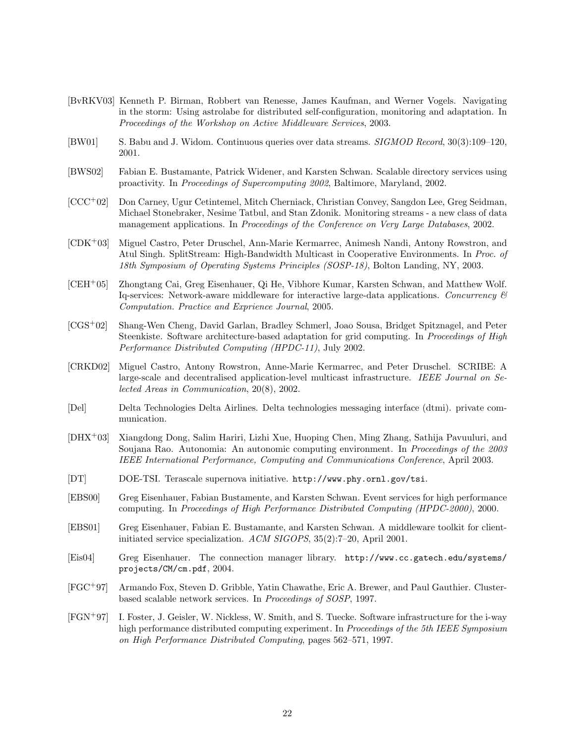- [BvRKV03] Kenneth P. Birman, Robbert van Renesse, James Kaufman, and Werner Vogels. Navigating in the storm: Using astrolabe for distributed self-configuration, monitoring and adaptation. In Proceedings of the Workshop on Active Middleware Services, 2003.
- [BW01] S. Babu and J. Widom. Continuous queries over data streams. SIGMOD Record, 30(3):109–120, 2001.
- [BWS02] Fabian E. Bustamante, Patrick Widener, and Karsten Schwan. Scalable directory services using proactivity. In Proceedings of Supercomputing 2002, Baltimore, Maryland, 2002.
- [CCC<sup>+</sup>02] Don Carney, Ugur Cetintemel, Mitch Cherniack, Christian Convey, Sangdon Lee, Greg Seidman, Michael Stonebraker, Nesime Tatbul, and Stan Zdonik. Monitoring streams - a new class of data management applications. In Proceedings of the Conference on Very Large Databases, 2002.
- [CDK<sup>+</sup>03] Miguel Castro, Peter Druschel, Ann-Marie Kermarrec, Animesh Nandi, Antony Rowstron, and Atul Singh. SplitStream: High-Bandwidth Multicast in Cooperative Environments. In Proc. of 18th Symposium of Operating Systems Principles (SOSP-18), Bolton Landing, NY, 2003.
- [CEH<sup>+</sup>05] Zhongtang Cai, Greg Eisenhauer, Qi He, Vibhore Kumar, Karsten Schwan, and Matthew Wolf. Iq-services: Network-aware middleware for interactive large-data applications. Concurrency  $\mathcal{B}$ Computation. Practice and Exprience Journal, 2005.
- [CGS<sup>+</sup>02] Shang-Wen Cheng, David Garlan, Bradley Schmerl, Joao Sousa, Bridget Spitznagel, and Peter Steenkiste. Software architecture-based adaptation for grid computing. In *Proceedings of High* Performance Distributed Computing (HPDC-11), July 2002.
- [CRKD02] Miguel Castro, Antony Rowstron, Anne-Marie Kermarrec, and Peter Druschel. SCRIBE: A large-scale and decentralised application-level multicast infrastructure. IEEE Journal on Selected Areas in Communication, 20(8), 2002.
- [Del] Delta Technologies Delta Airlines. Delta technologies messaging interface (dtmi). private communication.
- [DHX<sup>+</sup>03] Xiangdong Dong, Salim Hariri, Lizhi Xue, Huoping Chen, Ming Zhang, Sathija Pavuuluri, and Soujana Rao. Autonomia: An autonomic computing environment. In *Proceedings of the 2003* IEEE International Performance, Computing and Communications Conference, April 2003.
- [DT] DOE-TSI. Terascale supernova initiative. http://www.phy.ornl.gov/tsi.
- [EBS00] Greg Eisenhauer, Fabian Bustamente, and Karsten Schwan. Event services for high performance computing. In Proceedings of High Performance Distributed Computing (HPDC-2000), 2000.
- [EBS01] Greg Eisenhauer, Fabian E. Bustamante, and Karsten Schwan. A middleware toolkit for clientinitiated service specialization. ACM SIGOPS, 35(2):7–20, April 2001.
- [Eis04] Greg Eisenhauer. The connection manager library. http://www.cc.gatech.edu/systems/ projects/CM/cm.pdf, 2004.
- [FGC<sup>+</sup>97] Armando Fox, Steven D. Gribble, Yatin Chawathe, Eric A. Brewer, and Paul Gauthier. Clusterbased scalable network services. In Proceedings of SOSP, 1997.
- [FGN<sup>+</sup>97] I. Foster, J. Geisler, W. Nickless, W. Smith, and S. Tuecke. Software infrastructure for the i-way high performance distributed computing experiment. In *Proceedings of the 5th IEEE Symposium* on High Performance Distributed Computing, pages 562–571, 1997.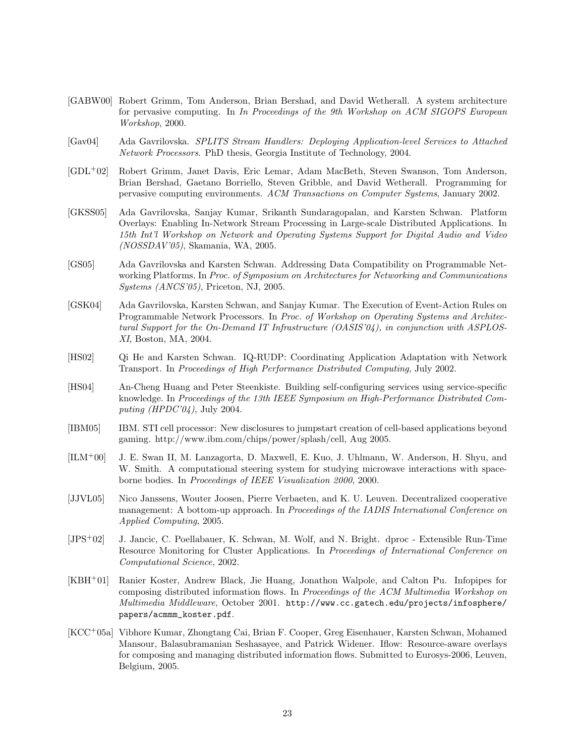- [GABW00] Robert Grimm, Tom Anderson, Brian Bershad, and David Wetherall. A system architecture for pervasive computing. In In Proceedings of the 9th Workshop on ACM SIGOPS European Workshop, 2000.
- [Gav04] Ada Gavrilovska. SPLITS Stream Handlers: Deploying Application-level Services to Attached Network Processors. PhD thesis, Georgia Institute of Technology, 2004.
- [GDL<sup>+</sup>02] Robert Grimm, Janet Davis, Eric Lemar, Adam MacBeth, Steven Swanson, Tom Anderson, Brian Bershad, Gaetano Borriello, Steven Gribble, and David Wetherall. Programming for pervasive computing environments. ACM Transactions on Computer Systems, January 2002.
- [GKSS05] Ada Gavrilovska, Sanjay Kumar, Srikanth Sundaragopalan, and Karsten Schwan. Platform Overlays: Enabling In-Network Stream Processing in Large-scale Distributed Applications. In 15th Int'l Workshop on Network and Operating Systems Support for Digital Audio and Video (NOSSDAV'05), Skamania, WA, 2005.
- [GS05] Ada Gavrilovska and Karsten Schwan. Addressing Data Compatibility on Programmable Networking Platforms. In Proc. of Symposium on Architectures for Networking and Communications Systems (ANCS'05), Priceton, NJ, 2005.
- [GSK04] Ada Gavrilovska, Karsten Schwan, and Sanjay Kumar. The Execution of Event-Action Rules on Programmable Network Processors. In Proc. of Workshop on Operating Systems and Architectural Support for the On-Demand IT Infrastructure (OASIS'04), in conjunction with ASPLOS-XI, Boston, MA, 2004.
- [HS02] Qi He and Karsten Schwan. IQ-RUDP: Coordinating Application Adaptation with Network Transport. In Proceedings of High Performance Distributed Computing, July 2002.
- [HS04] An-Cheng Huang and Peter Steenkiste. Building self-configuring services using service-specific knowledge. In Proceedings of the 13th IEEE Symposium on High-Performance Distributed Computing (HPDC'04), July 2004.
- [IBM05] IBM. STI cell processor: New disclosures to jumpstart creation of cell-based applications beyond gaming. http://www.ibm.com/chips/power/splash/cell, Aug 2005.
- [ILM<sup>+</sup>00] J. E. Swan II, M. Lanzagorta, D. Maxwell, E. Kuo, J. Uhlmann, W. Anderson, H. Shyu, and W. Smith. A computational steering system for studying microwave interactions with spaceborne bodies. In Proceedings of IEEE Visualization 2000, 2000.
- [JJVL05] Nico Janssens, Wouter Joosen, Pierre Verbaeten, and K. U. Leuven. Decentralized cooperative management: A bottom-up approach. In *Proceedings of the IADIS International Conference on* Applied Computing, 2005.
- [JPS<sup>+</sup>02] J. Jancic, C. Poellabauer, K. Schwan, M. Wolf, and N. Bright. dproc Extensible Run-Time Resource Monitoring for Cluster Applications. In Proceedings of International Conference on Computational Science, 2002.
- [KBH<sup>+</sup>01] Ranier Koster, Andrew Black, Jie Huang, Jonathon Walpole, and Calton Pu. Infopipes for composing distributed information flows. In Proceedings of the ACM Multimedia Workshop on Multimedia Middleware, October 2001. http://www.cc.gatech.edu/projects/infosphere/ papers/acmmm\_koster.pdf.
- [KCC<sup>+</sup>05a] Vibhore Kumar, Zhongtang Cai, Brian F. Cooper, Greg Eisenhauer, Karsten Schwan, Mohamed Mansour, Balasubramanian Seshasayee, and Patrick Widener. Iflow: Resource-aware overlays for composing and managing distributed information flows. Submitted to Eurosys-2006, Leuven, Belgium, 2005.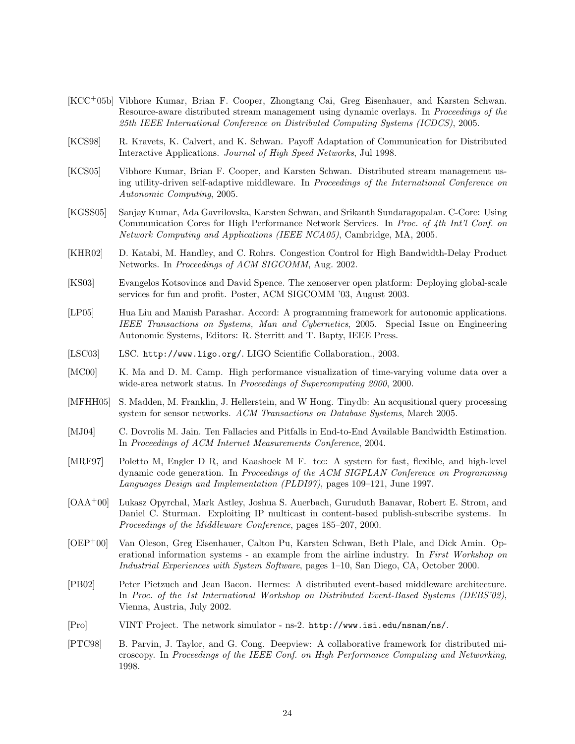- [KCC<sup>+</sup>05b] Vibhore Kumar, Brian F. Cooper, Zhongtang Cai, Greg Eisenhauer, and Karsten Schwan. Resource-aware distributed stream management using dynamic overlays. In Proceedings of the 25th IEEE International Conference on Distributed Computing Systems (ICDCS), 2005.
- [KCS98] R. Kravets, K. Calvert, and K. Schwan. Payoff Adaptation of Communication for Distributed Interactive Applications. Journal of High Speed Networks, Jul 1998.
- [KCS05] Vibhore Kumar, Brian F. Cooper, and Karsten Schwan. Distributed stream management using utility-driven self-adaptive middleware. In Proceedings of the International Conference on Autonomic Computing, 2005.
- [KGSS05] Sanjay Kumar, Ada Gavrilovska, Karsten Schwan, and Srikanth Sundaragopalan. C-Core: Using Communication Cores for High Performance Network Services. In Proc. of 4th Int'l Conf. on Network Computing and Applications (IEEE NCA05), Cambridge, MA, 2005.
- [KHR02] D. Katabi, M. Handley, and C. Rohrs. Congestion Control for High Bandwidth-Delay Product Networks. In Proceedings of ACM SIGCOMM, Aug. 2002.
- [KS03] Evangelos Kotsovinos and David Spence. The xenoserver open platform: Deploying global-scale services for fun and profit. Poster, ACM SIGCOMM '03, August 2003.
- [LP05] Hua Liu and Manish Parashar. Accord: A programming framework for autonomic applications. IEEE Transactions on Systems, Man and Cybernetics, 2005. Special Issue on Engineering Autonomic Systems, Editors: R. Sterritt and T. Bapty, IEEE Press.
- [LSC03] LSC. http://www.ligo.org/. LIGO Scientific Collaboration., 2003.
- [MC00] K. Ma and D. M. Camp. High performance visualization of time-varying volume data over a wide-area network status. In *Proceedings of Supercomputing 2000*, 2000.
- [MFHH05] S. Madden, M. Franklin, J. Hellerstein, and W Hong. Tinydb: An acqusitional query processing system for sensor networks. ACM Transactions on Database Systems, March 2005.
- [MJ04] C. Dovrolis M. Jain. Ten Fallacies and Pitfalls in End-to-End Available Bandwidth Estimation. In Proceedings of ACM Internet Measurements Conference, 2004.
- [MRF97] Poletto M, Engler D R, and Kaashoek M F. tcc: A system for fast, flexible, and high-level dynamic code generation. In Proceedings of the ACM SIGPLAN Conference on Programming Languages Design and Implementation (PLDI97), pages 109–121, June 1997.
- [OAA<sup>+</sup>00] Lukasz Opyrchal, Mark Astley, Joshua S. Auerbach, Guruduth Banavar, Robert E. Strom, and Daniel C. Sturman. Exploiting IP multicast in content-based publish-subscribe systems. In Proceedings of the Middleware Conference, pages 185–207, 2000.
- [OEP<sup>+</sup>00] Van Oleson, Greg Eisenhauer, Calton Pu, Karsten Schwan, Beth Plale, and Dick Amin. Operational information systems - an example from the airline industry. In First Workshop on Industrial Experiences with System Software, pages 1–10, San Diego, CA, October 2000.
- [PB02] Peter Pietzuch and Jean Bacon. Hermes: A distributed event-based middleware architecture. In Proc. of the 1st International Workshop on Distributed Event-Based Systems (DEBS'02), Vienna, Austria, July 2002.
- [Pro] VINT Project. The network simulator ns-2. http://www.isi.edu/nsnam/ns/.
- [PTC98] B. Parvin, J. Taylor, and G. Cong. Deepview: A collaborative framework for distributed microscopy. In Proceedings of the IEEE Conf. on High Performance Computing and Networking, 1998.